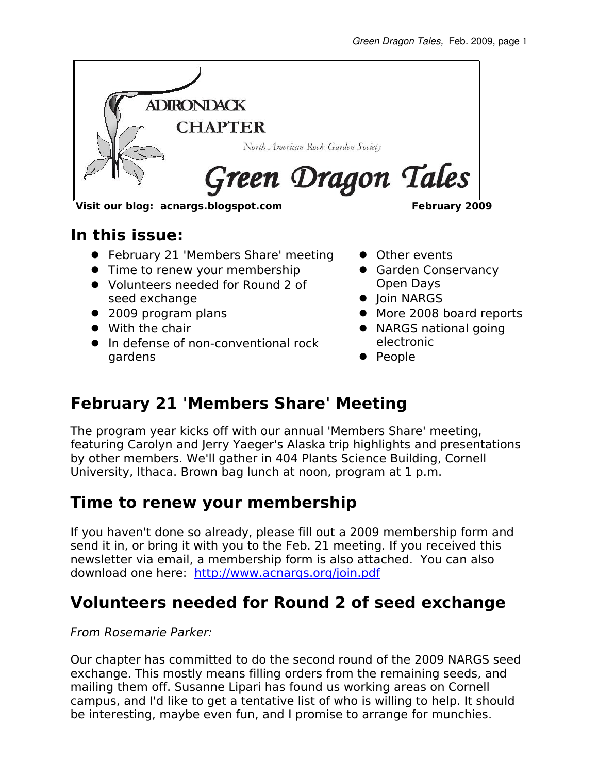

**Visit our blog: acnargs.blogspot.com February 2009**

#### **In this issue:**

- **•** February 21 'Members Share' meeting
- Time to renew your membership
- Volunteers needed for Round 2 of seed exchange
- 2009 program plans
- With the chair
- In defense of non-conventional rock gardens
- **•** Other events
- **Garden Conservancy** Open Days
- Ioin NARGS
- More 2008 board reports
- NARGS national going electronic
- People

## **February 21 'Members Share' Meeting**

The program year kicks off with our annual 'Members Share' meeting, featuring Carolyn and Jerry Yaeger's Alaska trip highlights and presentations by other members. We'll gather in 404 Plants Science Building, Cornell University, Ithaca. Brown bag lunch at noon, program at 1 p.m.

#### **Time to renew your membership**

If you haven't done so already, please fill out a 2009 membership form and send it in, or bring it with you to the Feb. 21 meeting. If you received this newsletter via email, a membership form is also attached. You can also download one here: <http://www.acnargs.org/join.pdf>

## **Volunteers needed for Round 2 of seed exchange**

#### From Rosemarie Parker:

Our chapter has committed to do the second round of the 2009 NARGS seed exchange. This mostly means filling orders from the remaining seeds, and mailing them off. Susanne Lipari has found us working areas on Cornell campus, and I'd like to get a tentative list of who is willing to help. It should be interesting, maybe even fun, and I promise to arrange for munchies.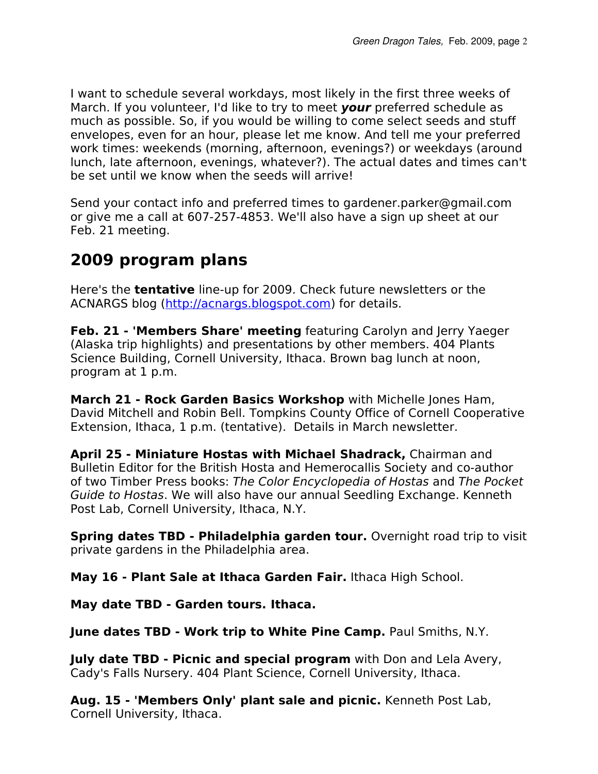I want to schedule several workdays, most likely in the first three weeks of March. If you volunteer, I'd like to try to meet **your** preferred schedule as much as possible. So, if you would be willing to come select seeds and stuff envelopes, even for an hour, please let me know. And tell me your preferred work times: weekends (morning, afternoon, evenings?) or weekdays (around lunch, late afternoon, evenings, whatever?). The actual dates and times can't be set until we know when the seeds will arrive!

Send your contact info and preferred times to gardener.parker@gmail.com or give me a call at 607-257-4853. We'll also have a sign up sheet at our Feb. 21 meeting.

## **2009 program plans**

Here's the **tentative** line-up for 2009. Check future newsletters or the ACNARGS blog [\(http://acnargs.blogspot.com\)](http://acnargs.blogspot.com/) for details.

**Feb. 21 - 'Members Share' meeting** featuring Carolyn and Jerry Yaeger (Alaska trip highlights) and presentations by other members. 404 Plants Science Building, Cornell University, Ithaca. Brown bag lunch at noon, program at 1 p.m.

**March 21 - Rock Garden Basics Workshop** with Michelle Jones Ham, David Mitchell and Robin Bell. Tompkins County Office of Cornell Cooperative Extension, Ithaca, 1 p.m. (tentative). Details in March newsletter.

**April 25 - Miniature Hostas with Michael Shadrack,** Chairman and Bulletin Editor for the British Hosta and Hemerocallis Society and co-author of two Timber Press books: The Color Encyclopedia of Hostas and The Pocket Guide to Hostas. We will also have our annual Seedling Exchange. Kenneth Post Lab, Cornell University, Ithaca, N.Y.

**Spring dates TBD - Philadelphia garden tour.** Overnight road trip to visit private gardens in the Philadelphia area.

**May 16 - Plant Sale at Ithaca Garden Fair.** Ithaca High School.

**May date TBD - Garden tours. Ithaca.**

**June dates TBD - Work trip to White Pine Camp.** Paul Smiths, N.Y.

**July date TBD - Picnic and special program** with Don and Lela Avery, Cady's Falls Nursery. 404 Plant Science, Cornell University, Ithaca.

**Aug. 15 - 'Members Only' plant sale and picnic.** Kenneth Post Lab, Cornell University, Ithaca.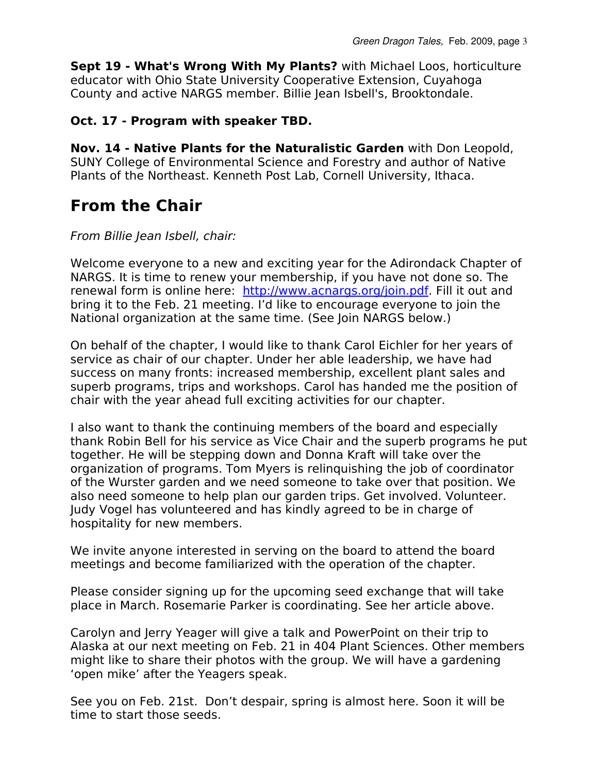**Sept 19 - What's Wrong With My Plants?** with Michael Loos, horticulture educator with Ohio State University Cooperative Extension, Cuyahoga County and active NARGS member. Billie Jean Isbell's, Brooktondale.

#### **Oct. 17 - Program with speaker TBD.**

**Nov. 14 - Native Plants for the Naturalistic Garden** with Don Leopold, SUNY College of Environmental Science and Forestry and author of Native Plants of the Northeast. Kenneth Post Lab, Cornell University, Ithaca.

## **From the Chair**

#### From Billie Jean Isbell, chair:

Welcome everyone to a new and exciting year for the Adirondack Chapter of NARGS. It is time to renew your membership, if you have not done so. The renewal form is online here: http://www.acnargs.org/join.pdf. Fill it out and bring it to the Feb. 21 meeting. I'd like to encourage everyone to join the National organization at the same time. (See Join NARGS below.)

On behalf of the chapter, I would like to thank Carol Eichler for her years of service as chair of our chapter. Under her able leadership, we have had success on many fronts: increased membership, excellent plant sales and superb programs, trips and workshops. Carol has handed me the position of chair with the year ahead full exciting activities for our chapter. Green Dragon Tales, Feb. 2009<br>
County and active NARGS member: Billie Jean Isbell's, Brooktondale.<br>
County and active NARGS member: Billie Jean Isbell's, Brooktondale.<br> **Oct. 17 - Program with speaker TBD.**<br>
Nov. 14 - Nati

thank Robin Bell for his service as Vice Chair and the superb programs he put together. He will be stepping down and Donna Kraft will take over the organization of programs. Tom Myers is relinquishing the job of coordinator of the Wurster garden and we need someone to take over that position. We also need someone to help plan our garden trips. Get involved. Volunteer. Judy Vogel has volunteered and has kindly agreed to be in charge of hospitality for new members. Gaen Dagon Takes, Word With My Plants? with Michara Loos, hotical experiment and deciration of the mass of Carolina County and active NARGS member. Billie Jean Isbell's, Brooktondale.<br> **Oct. 17 - Program with speaker TBD.** 

We invite anyone interested in serving on the board to attend the board meetings and become familiarized with the operation of the chapter.

Please consider signing up for the upcoming seed exchange that will take place in March. Rosemarie Parker is coordinating. See her article above.

Alaska at our next meeting on Feb. 21 in 404 Plant Sciences. Other members might like to share their photos with the group. We will have a gardening 'open mike' after the Yeagers speak.

See you on Feb. 21st. Don't despair, spring is almost here. Soon it will be time to start those seeds.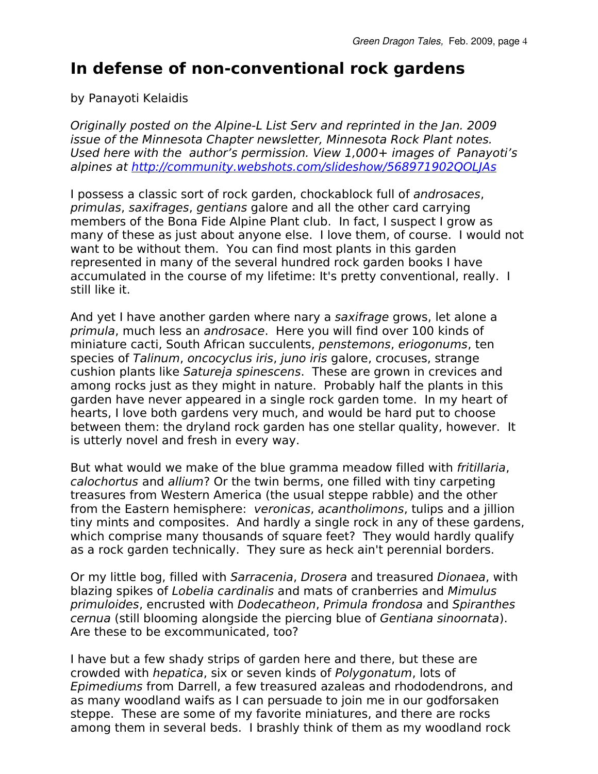## **In defense of non-conventional rock gardens**

by Panayoti Kelaidis

Originally posted on the Alpine-L List Serv and reprinted in the Jan. 2009 issue of the Minnesota Chapter newsletter, Minnesota Rock Plant notes. Used here with the author's permission. View 1,000+ images of Panayoti's alpines at<http://community.webshots.com/slideshow/568971902QOLJAs>

I possess a classic sort of rock garden, chockablock full of androsaces, primulas, saxifrages, gentians galore and all the other card carrying members of the Bona Fide Alpine Plant club. In fact, I suspect I grow as many of these as just about anyone else. I love them, of course. I would not want to be without them. You can find most plants in this garden represented in many of the several hundred rock garden books I have accumulated in the course of my lifetime: It's pretty conventional, really. I still like it.

And yet I have another garden where nary a saxifrage grows, let alone a primula, much less an androsace. Here you will find over 100 kinds of miniature cacti, South African succulents, penstemons, eriogonums, ten species of Talinum, oncocyclus iris, juno iris galore, crocuses, strange cushion plants like Satureja spinescens. These are grown in crevices and among rocks just as they might in nature. Probably half the plants in this garden have never appeared in a single rock garden tome. In my heart of hearts, I love both gardens very much, and would be hard put to choose between them: the dryland rock garden has one stellar quality, however. It is utterly novel and fresh in every way.

But what would we make of the blue gramma meadow filled with fritillaria, calochortus and allium? Or the twin berms, one filled with tiny carpeting treasures from Western America (the usual steppe rabble) and the other from the Eastern hemisphere: veronicas, acantholimons, tulips and a jillion tiny mints and composites. And hardly a single rock in any of these gardens, which comprise many thousands of square feet? They would hardly qualify as a rock garden technically. They sure as heck ain't perennial borders.

Or my little bog, filled with Sarracenia, Drosera and treasured Dionaea, with blazing spikes of Lobelia cardinalis and mats of cranberries and Mimulus primuloides, encrusted with Dodecatheon, Primula frondosa and Spiranthes cernua (still blooming alongside the piercing blue of Gentiana sinoornata). Are these to be excommunicated, too?

I have but a few shady strips of garden here and there, but these are crowded with hepatica, six or seven kinds of Polygonatum, lots of Epimediums from Darrell, a few treasured azaleas and rhododendrons, and as many woodland waifs as I can persuade to join me in our godforsaken steppe. These are some of my favorite miniatures, and there are rocks among them in several beds. I brashly think of them as my woodland rock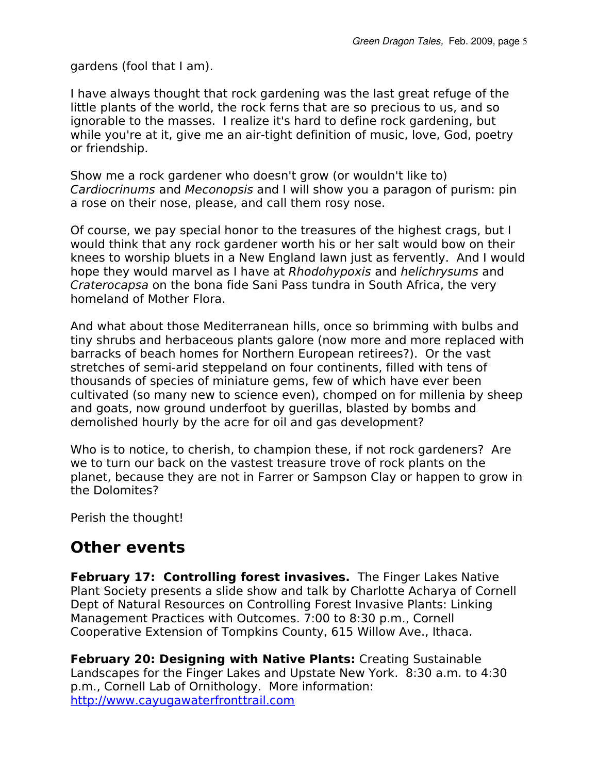gardens (fool that I am).

I have always thought that rock gardening was the last great refuge of the little plants of the world, the rock ferns that are so precious to us, and so ignorable to the masses. I realize it's hard to define rock gardening, but while you're at it, give me an air-tight definition of music, love, God, poetry or friendship.

Show me a rock gardener who doesn't grow (or wouldn't like to) Cardiocrinums and Meconopsis and I will show you a paragon of purism: pin a rose on their nose, please, and call them rosy nose.

Of course, we pay special honor to the treasures of the highest crags, but I would think that any rock gardener worth his or her salt would bow on their knees to worship bluets in a New England lawn just as fervently. And I would hope they would marvel as I have at Rhodohypoxis and helichrysums and Craterocapsa on the bona fide Sani Pass tundra in South Africa, the very homeland of Mother Flora.

And what about those Mediterranean hills, once so brimming with bulbs and tiny shrubs and herbaceous plants galore (now more and more replaced with barracks of beach homes for Northern European retirees?). Or the vast stretches of semi-arid steppeland on four continents, filled with tens of thousands of species of miniature gems, few of which have ever been cultivated (so many new to science even), chomped on for millenia by sheep and goats, now ground underfoot by guerillas, blasted by bombs and demolished hourly by the acre for oil and gas development?

Who is to notice, to cherish, to champion these, if not rock gardeners? Are we to turn our back on the vastest treasure trove of rock plants on the planet, because they are not in Farrer or Sampson Clay or happen to grow in the Dolomites?

Perish the thought!

#### **Other events**

**February 17: Controlling forest invasives.** The Finger Lakes Native Plant Society presents a slide show and talk by Charlotte Acharya of Cornell Dept of Natural Resources on Controlling Forest Invasive Plants: Linking Management Practices with Outcomes. 7:00 to 8:30 p.m., Cornell Cooperative Extension of Tompkins County, 615 Willow Ave., Ithaca.

**February 20: Designing with Native Plants:** Creating Sustainable Landscapes for the Finger Lakes and Upstate New York. 8:30 a.m. to 4:30 p.m., Cornell Lab of Ornithology. More information: [http://www.cayugawaterfronttrail.com](http://www.cayugawaterfronttrail.com/)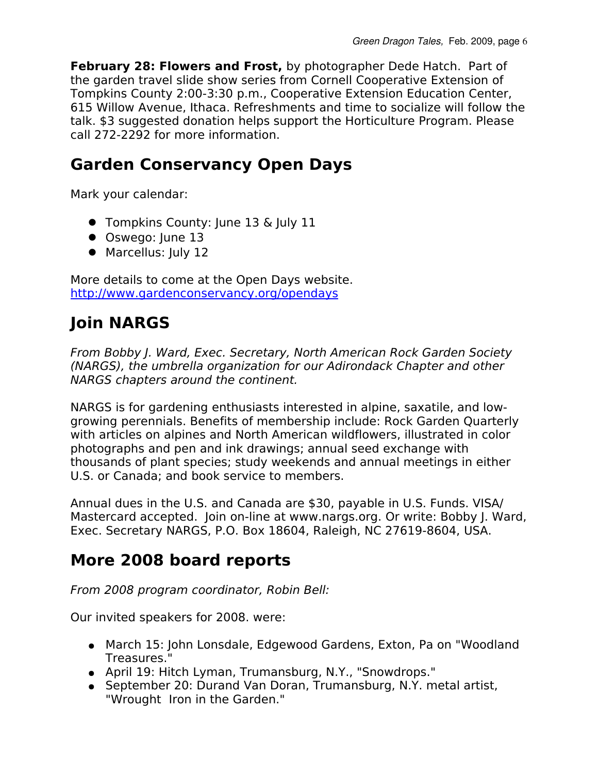**February 28: Flowers and Frost,** by photographer Dede Hatch. Part of the garden travel slide show series from Cornell Cooperative Extension of Tompkins County 2:00-3:30 p.m., Cooperative Extension Education Center, 615 Willow Avenue, Ithaca. Refreshments and time to socialize will follow the talk. \$3 suggested donation helps support the Horticulture Program. Please call 272-2292 for more information.

# **Garden Conservancy Open Days**

Mark your calendar:

- **•** Tompkins County: June 13 & July 11
- Oswego: June 13
- Marcellus: July 12

More details to come at the Open Days website. <http://www.gardenconservancy.org/opendays>

# **Join NARGS**

From Bobby J. Ward, Exec. Secretary, North American Rock Garden Society (NARGS), the umbrella organization for our Adirondack Chapter and other NARGS chapters around the continent.

NARGS is for gardening enthusiasts interested in alpine, saxatile, and lowgrowing perennials. Benefits of membership include: Rock Garden Quarterly with articles on alpines and North American wildflowers, illustrated in color photographs and pen and ink drawings; annual seed exchange with thousands of plant species; study weekends and annual meetings in either U.S. or Canada; and book service to members.

Annual dues in the U.S. and Canada are \$30, payable in U.S. Funds. VISA/ Mastercard accepted. Join on-line at www.nargs.org. Or write: Bobby J. Ward, Exec. Secretary NARGS, P.O. Box 18604, Raleigh, NC 27619-8604, USA.

# **More 2008 board reports**

From 2008 program coordinator, Robin Bell:

Our invited speakers for 2008. were:

- March 15: John Lonsdale, Edgewood Gardens, Exton, Pa on "Woodland Treasures."
- April 19: Hitch Lyman, Trumansburg, N.Y., "Snowdrops."
- September 20: Durand Van Doran, Trumansburg, N.Y. metal artist, "Wrought Iron in the Garden."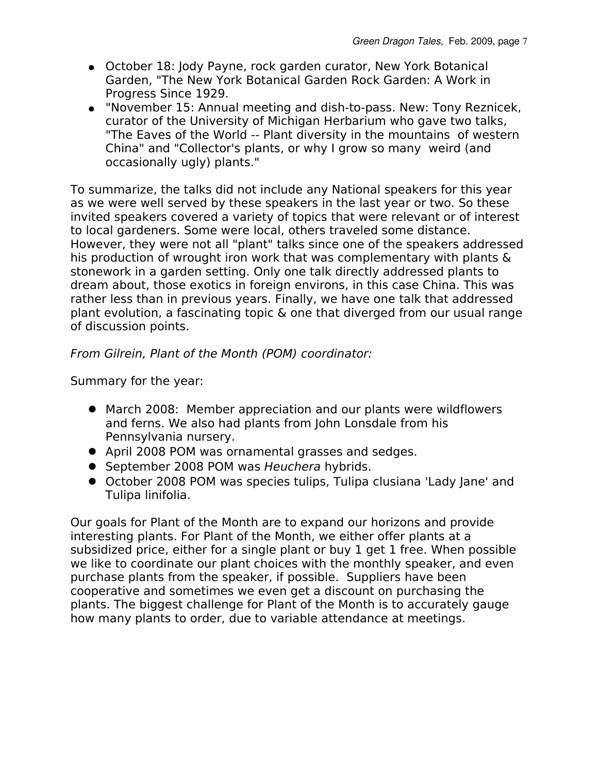- October 18: Jody Payne, rock garden curator, New York Botanical Garden, "The New York Botanical Garden Rock Garden: A Work in Progress Since 1929.
- "November 15: Annual meeting and dish-to-pass. New: Tony Reznicek, curator of the University of Michigan Herbarium who gave two talks, "The Eaves of the World -- Plant diversity in the mountains of western China" and "Collector's plants, or why I grow so many weird (and occasionally ugly) plants."

To summarize, the talks did not include any National speakers for this year as we were well served by these speakers in the last year or two. So these invited speakers covered a variety of topics that were relevant or of interest to local gardeners. Some were local, others traveled some distance. However, they were not all "plant" talks since one of the speakers addressed his production of wrought iron work that was complementary with plants & stonework in a garden setting. Only one talk directly addressed plants to dream about, those exotics in foreign environs, in this case China. This was rather less than in previous years. Finally, we have one talk that addressed plant evolution, a fascinating topic & one that diverged from our usual range of discussion points.

From Gilrein, Plant of the Month (POM) coordinator:

Summary for the year:

- March 2008: Member appreciation and our plants were wildflowers and ferns. We also had plants from John Lonsdale from his Pennsylvania nursery.
- April 2008 POM was ornamental grasses and sedges.
- September 2008 POM was Heuchera hybrids.
- October 2008 POM was species tulips, Tulipa clusiana 'Lady Jane' and Tulipa linifolia.

Our goals for Plant of the Month are to expand our horizons and provide interesting plants. For Plant of the Month, we either offer plants at a subsidized price, either for a single plant or buy 1 get 1 free. When possible we like to coordinate our plant choices with the monthly speaker, and even purchase plants from the speaker, if possible. Suppliers have been cooperative and sometimes we even get a discount on purchasing the plants. The biggest challenge for Plant of the Month is to accurately gauge how many plants to order, due to variable attendance at meetings.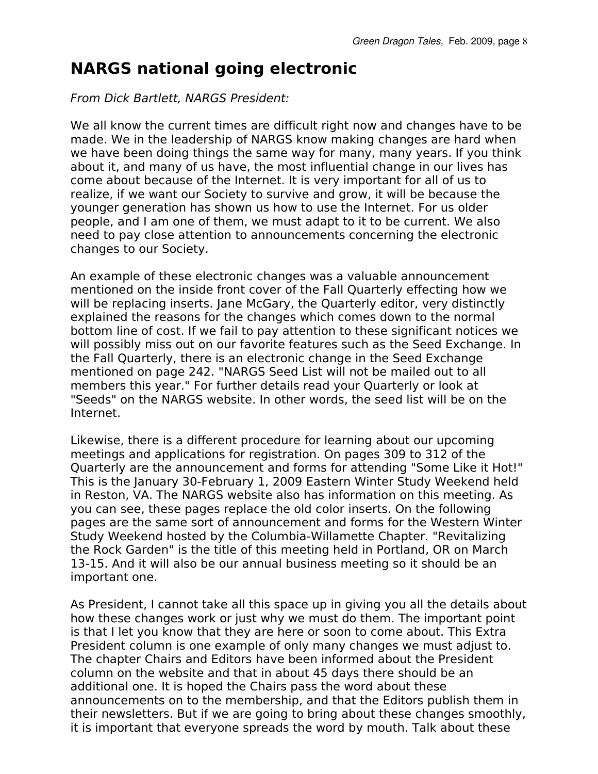# **NARGS national going electronic**

#### From Dick Bartlett, NARGS President:

We all know the current times are difficult right now and changes have to be made. We in the leadership of NARGS know making changes are hard when we have been doing things the same way for many, many years. If you think about it, and many of us have, the most influential change in our lives has come about because of the Internet. It is very important for all of us to realize, if we want our Society to survive and grow, it will be because the younger generation has shown us how to use the Internet. For us older people, and I am one of them, we must adapt to it to be current. We also need to pay close attention to announcements concerning the electronic changes to our Society.

An example of these electronic changes was a valuable announcement mentioned on the inside front cover of the Fall Quarterly effecting how we will be replacing inserts. Jane McGary, the Quarterly editor, very distinctly explained the reasons for the changes which comes down to the normal bottom line of cost. If we fail to pay attention to these significant notices we will possibly miss out on our favorite features such as the Seed Exchange. In the Fall Quarterly, there is an electronic change in the Seed Exchange mentioned on page 242. "NARGS Seed List will not be mailed out to all members this year." For further details read your Quarterly or look at "Seeds" on the NARGS website. In other words, the seed list will be on the Internet.

Likewise, there is a different procedure for learning about our upcoming meetings and applications for registration. On pages 309 to 312 of the Quarterly are the announcement and forms for attending "Some Like it Hot!" This is the January 30-February 1, 2009 Eastern Winter Study Weekend held in Reston, VA. The NARGS website also has information on this meeting. As you can see, these pages replace the old color inserts. On the following pages are the same sort of announcement and forms for the Western Winter Study Weekend hosted by the Columbia-Willamette Chapter. "Revitalizing the Rock Garden" is the title of this meeting held in Portland, OR on March 13-15. And it will also be our annual business meeting so it should be an important one.

As President, I cannot take all this space up in giving you all the details about how these changes work or just why we must do them. The important point is that I let you know that they are here or soon to come about. This Extra President column is one example of only many changes we must adjust to. The chapter Chairs and Editors have been informed about the President column on the website and that in about 45 days there should be an additional one. It is hoped the Chairs pass the word about these announcements on to the membership, and that the Editors publish them in their newsletters. But if we are going to bring about these changes smoothly, it is important that everyone spreads the word by mouth. Talk about these